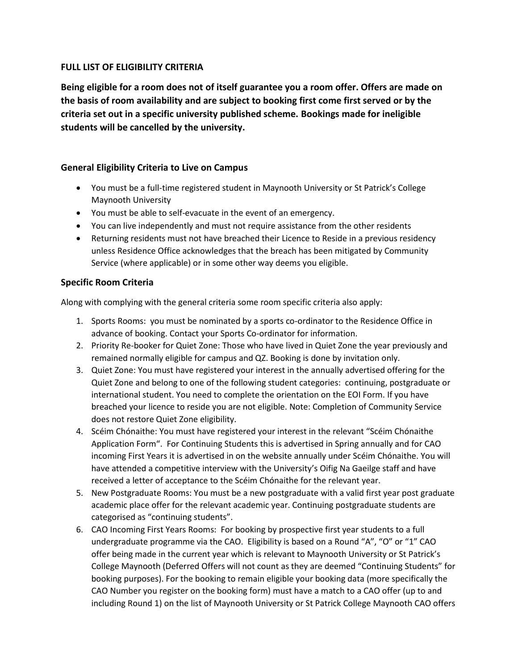## **FULL LIST OF ELIGIBILITY CRITERIA**

**Being eligible for a room does not of itself guarantee you a room offer. Offers are made on the basis of room availability and are subject to booking first come first served or by the criteria set out in a specific university published scheme. Bookings made for ineligible students will be cancelled by the university.**

## **General Eligibility Criteria to Live on Campus**

- You must be a full-time registered student in Maynooth University or St Patrick's College Maynooth University
- You must be able to self-evacuate in the event of an emergency.
- You can live independently and must not require assistance from the other residents
- Returning residents must not have breached their Licence to Reside in a previous residency unless Residence Office acknowledges that the breach has been mitigated by Community Service (where applicable) or in some other way deems you eligible.

## **Specific Room Criteria**

Along with complying with the general criteria some room specific criteria also apply:

- 1. Sports Rooms: you must be nominated by a sports co-ordinator to the Residence Office in advance of booking. Contact your Sports Co-ordinator for information.
- 2. Priority Re-booker for Quiet Zone: Those who have lived in Quiet Zone the year previously and remained normally eligible for campus and QZ. Booking is done by invitation only.
- 3. Quiet Zone: You must have registered your interest in the annually advertised offering for the Quiet Zone and belong to one of the following student categories: continuing, postgraduate or international student. You need to complete the orientation on the EOI Form. If you have breached your licence to reside you are not eligible. Note: Completion of Community Service does not restore Quiet Zone eligibility.
- 4. Scéim Chónaithe: You must have registered your interest in the relevant "Scéim Chónaithe Application Form". For Continuing Students this is advertised in Spring annually and for CAO incoming First Years it is advertised in on the website annually under Scéim Chónaithe. You will have attended a competitive interview with the University's Oifig Na Gaeilge staff and have received a letter of acceptance to the Scéim Chónaithe for the relevant year.
- 5. New Postgraduate Rooms: You must be a new postgraduate with a valid first year post graduate academic place offer for the relevant academic year. Continuing postgraduate students are categorised as "continuing students".
- 6. CAO Incoming First Years Rooms: For booking by prospective first year students to a full undergraduate programme via the CAO. Eligibility is based on a Round "A", "O" or "1" CAO offer being made in the current year which is relevant to Maynooth University or St Patrick's College Maynooth (Deferred Offers will not count as they are deemed "Continuing Students" for booking purposes). For the booking to remain eligible your booking data (more specifically the CAO Number you register on the booking form) must have a match to a CAO offer (up to and including Round 1) on the list of Maynooth University or St Patrick College Maynooth CAO offers